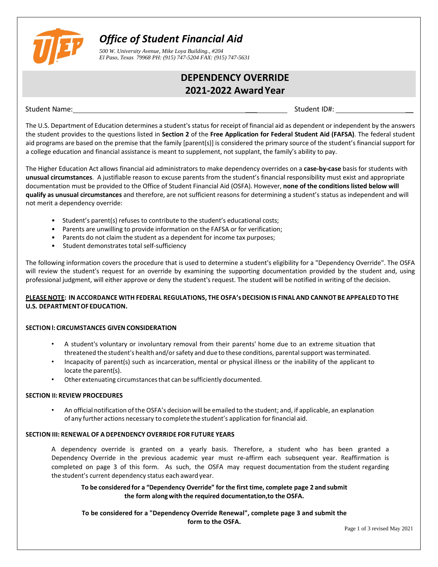

### *Office of Student Financial Aid*

*500 W. University Avenue, Mike Loya Building., #204 El Paso, Texas 79968 PH: (915) 747-5204 FAX: (915) 747-5631*

## **DEPENDENCY OVERRIDE 2021-2022 Award Year**

Student Name: \_\_\_ Student ID#: \_\_

The U.S. Department of Education determines a student's status for receipt of financial aid as dependent or independent by the answers the student provides to the questions listed in **Section 2** of the **Free Application for Federal Student Aid (FAFSA)**. The federal student aid programs are based on the premise that the family [parent(s)] is considered the primary source of the student's financial support for a college education and financial assistance is meant to supplement, not supplant, the family's ability to pay( $\delta$ EP.

The Higher Education Act allows financial aid administrators to make dependency overrides on a **case-by-case** basis for students with **unusual circumstances**. A justifiable reason to excuse parents from the student's financial responsibility must exist and appropriate documentation must be provided to the Office of Student Financial Aid (OSFA). However, **none of the conditions listed below will qualify as unusual circumstancesV**andU therefore, are not sufficient reasons for determining a student's status as independent and will not  $@b$  depe ndency override:

- Student's parent(s) refuses to contribute to the student's educational costs;
- Parents are unwilling to provide information on the FAFSA or for verification;
- Parents do not claim the student as a dependent for income tax purposes;
- Student demonstrates total self-sufficiency

The following information covers the procedure that is used to determine a student's eligibility for a "Dependency Override". The OSFA will review the student's request for an override by examining the supporting documentation provided by the student and, using professional judgment, will either approve or deny the student's request. The student will be notified of the decision $Q$ o p¥šdWu]o

#### **PLEASE NOTE: IN ACCORDANCE WITH FEDERAL REGULATIONS, THE OSFA'sDECISION IS FINAL AND CANNOT BE APPEALED TO THE U.S. DEPARTMENTOF EDUCATION.**

#### **SECTIONl: CIRCUMSTANCES GIVEN CONSIDERATION**

- A student's voluntary or involuntary removal from their parents' home due to an extreme situation that threatened the student's health and/orsafety and due to these conditions, parentalsupport wasterminated.
- Incapacity of parent(s) such as incarceration, mental or physical illness or the inability of the applicant to locate the parent(s).
- Other extenuating circumstancesthat can be sufficiently documented.

#### **SECTION II: REVIEW PROCEDURES**

• An official notification of the OSFA's decision will be emailed to the student; and, if applicable, an explanationof any further actions necessary to complete the student's application for financial aid.

#### **SECTION III: RENEWAL OF ADEPENDENCY OVERRIDE FOR FUTURE YEARS**

A dependency override is granted on a yearly basis. Therefore, a student who has been granted a Dependency Override in the previous academic year must re-affirm each subsequent year. Reaffirmation is completed on page 3 of this form. As such, the OSFA may request documentation from the student regarding the student's current dependency status each award year.

**To be considered for a "Dependency Override" for the first time, complete page 2 and submit the form along with the required documentation to the OSFA.**

**To be considered for a "Dependency Override Renewal", complete page 3 and submit the form to the OSFA.**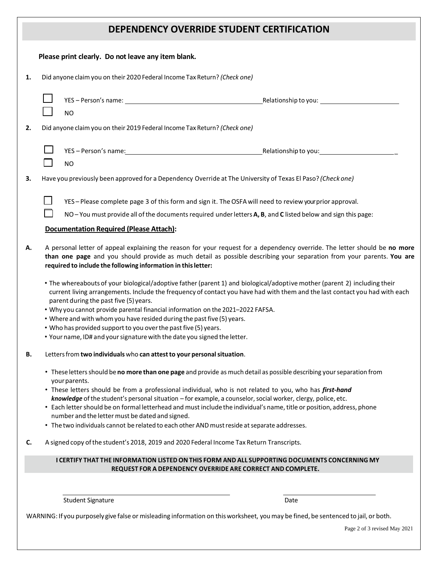